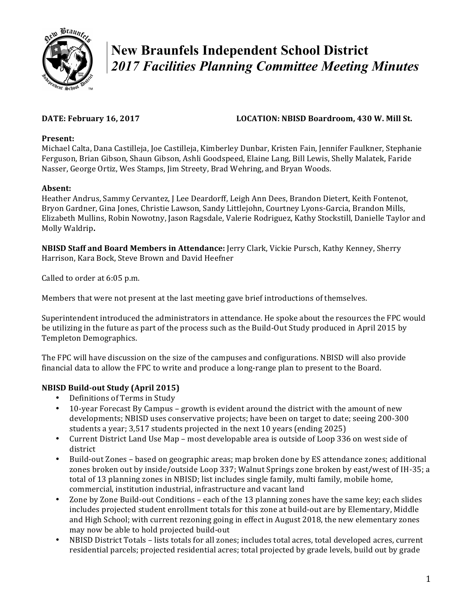

# **New Braunfels Independent School District**  *2017 Facilities Planning Committee Meeting Minutes*

# DATE: February 16, 2017 **LOCATION: NBISD Boardroom, 430 W. Mill St.**

# **Present:**

Michael Calta, Dana Castilleja, Joe Castilleja, Kimberley Dunbar, Kristen Fain, Jennifer Faulkner, Stephanie Ferguson, Brian Gibson, Shaun Gibson, Ashli Goodspeed, Elaine Lang, Bill Lewis, Shelly Malatek, Faride Nasser, George Ortiz, Wes Stamps, Jim Streety, Brad Wehring, and Bryan Woods.

# **Absent:**

Heather Andrus, Sammy Cervantez, J Lee Deardorff, Leigh Ann Dees, Brandon Dietert, Keith Fontenot, Bryon Gardner, Gina Jones, Christie Lawson, Sandy Littlejohn, Courtney Lyons-Garcia, Brandon Mills, Elizabeth Mullins, Robin Nowotny, Jason Ragsdale, Valerie Rodriguez, Kathy Stockstill, Danielle Taylor and Molly Waldrip**.**

**NBISD Staff and Board Members in Attendance:** Jerry Clark, Vickie Pursch, Kathy Kenney, Sherry Harrison, Kara Bock, Steve Brown and David Heefner

Called to order at 6:05 p.m.

Members that were not present at the last meeting gave brief introductions of themselves.

Superintendent introduced the administrators in attendance. He spoke about the resources the FPC would be utilizing in the future as part of the process such as the Build-Out Study produced in April 2015 by Templeton Demographics.

The FPC will have discussion on the size of the campuses and configurations. NBISD will also provide financial data to allow the FPC to write and produce a long-range plan to present to the Board.

# **NBISD Build-out Study (April 2015)**

- Definitions of Terms in Study
- 10-year Forecast By Campus growth is evident around the district with the amount of new developments; NBISD uses conservative projects; have been on target to date; seeing 200-300 students a year; 3,517 students projected in the next 10 years (ending 2025)
- Current District Land Use Map most developable area is outside of Loop 336 on west side of district
- Build-out Zones based on geographic areas; map broken done by ES attendance zones; additional zones broken out by inside/outside Loop 337; Walnut Springs zone broken by east/west of IH-35; a total of 13 planning zones in NBISD; list includes single family, multi family, mobile home, commercial, institution industrial, infrastructure and vacant land
- Zone by Zone Build-out Conditions each of the 13 planning zones have the same key; each slides includes projected student enrollment totals for this zone at build-out are by Elementary, Middle and High School; with current rezoning going in effect in August 2018, the new elementary zones may now be able to hold projected build-out
- NBISD District Totals lists totals for all zones; includes total acres, total developed acres, current residential parcels; projected residential acres; total projected by grade levels, build out by grade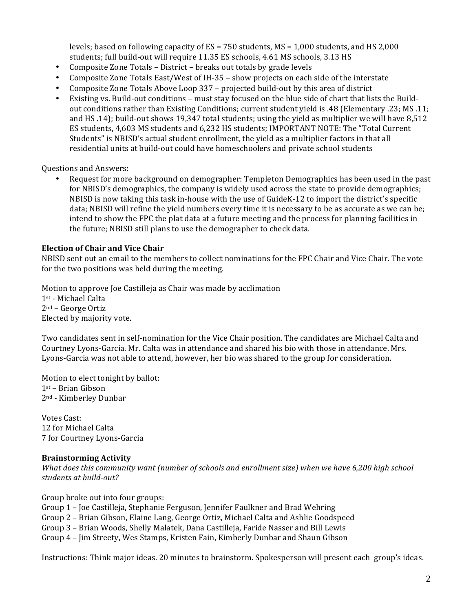levels; based on following capacity of  $ES = 750$  students,  $MS = 1,000$  students, and HS 2,000 students; full build-out will require 11.35 ES schools, 4.61 MS schools, 3.13 HS

- Composite Zone Totals District breaks out totals by grade levels
- Composite Zone Totals East/West of IH-35 show projects on each side of the interstate
- Composite Zone Totals Above Loop 337 projected build-out by this area of district
- Existing vs. Build-out conditions must stay focused on the blue side of chart that lists the Buildout conditions rather than Existing Conditions; current student yield is .48 (Elementary .23; MS .11; and HS .14); build-out shows 19,347 total students; using the yield as multiplier we will have 8,512 ES students, 4,603 MS students and 6,232 HS students; IMPORTANT NOTE: The "Total Current Students" is NBISD's actual student enrollment, the yield as a multiplier factors in that all residential units at build-out could have homeschoolers and private school students

**Ouestions and Answers:** 

Request for more background on demographer: Templeton Demographics has been used in the past for NBISD's demographics, the company is widely used across the state to provide demographics; NBISD is now taking this task in-house with the use of  $\text{GuideK-12}$  to import the district's specific data; NBISD will refine the yield numbers every time it is necessary to be as accurate as we can be; intend to show the FPC the plat data at a future meeting and the process for planning facilities in the future; NBISD still plans to use the demographer to check data.

### **Election of Chair and Vice Chair**

NBISD sent out an email to the members to collect nominations for the FPC Chair and Vice Chair. The vote for the two positions was held during the meeting.

Motion to approve Joe Castilleja as Chair was made by acclimation 1st - Michael Calta  $2<sup>nd</sup>$  – George Ortiz Elected by majority vote.

Two candidates sent in self-nomination for the Vice Chair position. The candidates are Michael Calta and Courtney Lyons-Garcia. Mr. Calta was in attendance and shared his bio with those in attendance. Mrs. Lyons-Garcia was not able to attend, however, her bio was shared to the group for consideration.

Motion to elect tonight by ballot: 1st – Brian Gibson 2nd - Kimberley Dunbar 

Votes Cast: 12 for Michael Calta 7 for Courtney Lyons-Garcia

#### **Brainstorming Activity**

*What does this community want (number of schools and enrollment size)* when we have 6,200 high school *students at build-out?*

Group broke out into four groups:

Group 1 – Joe Castilleja, Stephanie Ferguson, Jennifer Faulkner and Brad Wehring

Group 2 - Brian Gibson, Elaine Lang, George Ortiz, Michael Calta and Ashlie Goodspeed

- Group 3 Brian Woods, Shelly Malatek, Dana Castilleja, Faride Nasser and Bill Lewis
- Group 4 Jim Streety, Wes Stamps, Kristen Fain, Kimberly Dunbar and Shaun Gibson

Instructions: Think major ideas. 20 minutes to brainstorm. Spokesperson will present each group's ideas.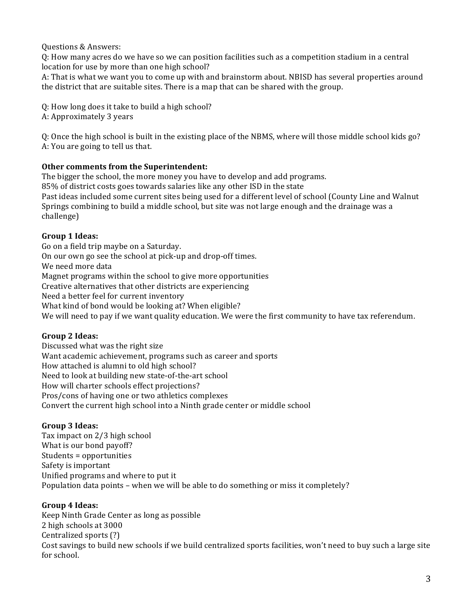Questions & Answers: 

Q: How many acres do we have so we can position facilities such as a competition stadium in a central location for use by more than one high school?

A: That is what we want you to come up with and brainstorm about. NBISD has several properties around the district that are suitable sites. There is a map that can be shared with the group.

Q: How long does it take to build a high school?

A: Approximately 3 years

Q: Once the high school is built in the existing place of the NBMS, where will those middle school kids go? A: You are going to tell us that.

# **Other comments from the Superintendent:**

The bigger the school, the more money you have to develop and add programs.

85% of district costs goes towards salaries like any other ISD in the state Past ideas included some current sites being used for a different level of school (County Line and Walnut Springs combining to build a middle school, but site was not large enough and the drainage was a challenge)

# **Group 1 Ideas:**

Go on a field trip maybe on a Saturday. On our own go see the school at pick-up and drop-off times. We need more data Magnet programs within the school to give more opportunities Creative alternatives that other districts are experiencing Need a better feel for current inventory What kind of bond would be looking at? When eligible? We will need to pay if we want quality education. We were the first community to have tax referendum.

# **Group 2 Ideas:**

Discussed what was the right size Want academic achievement, programs such as career and sports How attached is alumni to old high school? Need to look at building new state-of-the-art school How will charter schools effect projections? Pros/cons of having one or two athletics complexes Convert the current high school into a Ninth grade center or middle school

# **Group 3 Ideas:**

Tax impact on 2/3 high school What is our bond payoff? Students = opportunities Safety is important Unified programs and where to put it Population data points – when we will be able to do something or miss it completely?

# **Group 4 Ideas:**

Keep Ninth Grade Center as long as possible 2 high schools at 3000 Centralized sports (?) Cost savings to build new schools if we build centralized sports facilities, won't need to buy such a large site for school.